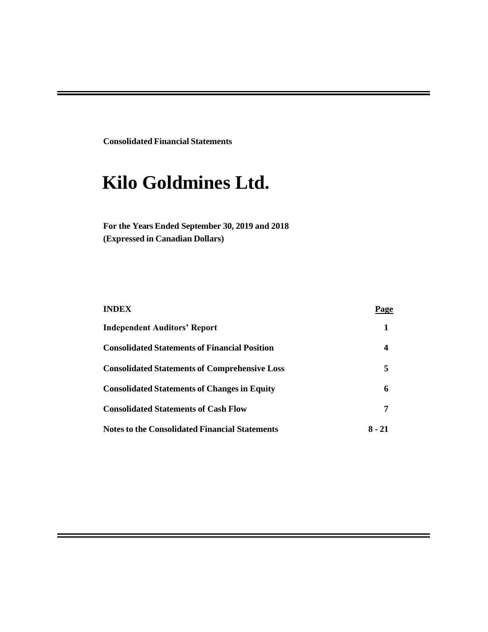**Consolidated Financial Statements**

# **Kilo Goldmines Ltd.**

**For the Years Ended September 30, 2019 and 2018 (Expressed in Canadian Dollars)**

| <b>INDEX</b>                                         | Page     |
|------------------------------------------------------|----------|
| <b>Independent Auditors' Report</b>                  |          |
| <b>Consolidated Statements of Financial Position</b> | 4        |
| <b>Consolidated Statements of Comprehensive Loss</b> | 5        |
| <b>Consolidated Statements of Changes in Equity</b>  | 6        |
| <b>Consolidated Statements of Cash Flow</b>          | 7        |
| Notes to the Consolidated Financial Statements       | $8 - 21$ |

Ξ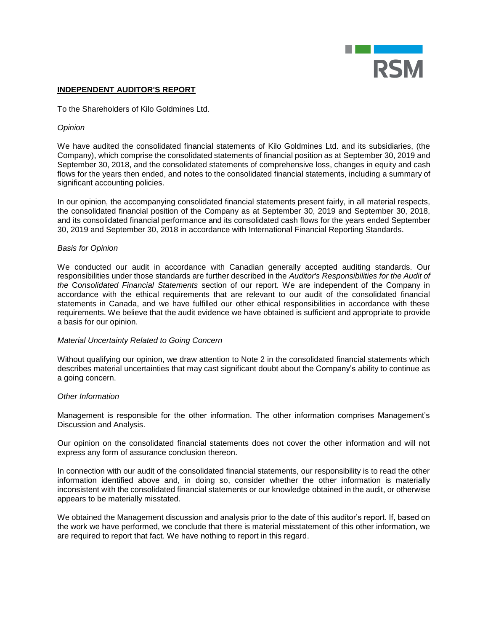

## **INDEPENDENT AUDITOR'S REPORT**

To the Shareholders of Kilo Goldmines Ltd.

## *Opinion*

We have audited the consolidated financial statements of Kilo Goldmines Ltd. and its subsidiaries, (the Company), which comprise the consolidated statements of financial position as at September 30, 2019 and September 30, 2018, and the consolidated statements of comprehensive loss, changes in equity and cash flows for the years then ended, and notes to the consolidated financial statements, including a summary of significant accounting policies.

In our opinion, the accompanying consolidated financial statements present fairly, in all material respects, the consolidated financial position of the Company as at September 30, 2019 and September 30, 2018, and its consolidated financial performance and its consolidated cash flows for the years ended September 30, 2019 and September 30, 2018 in accordance with International Financial Reporting Standards.

## *Basis for Opinion*

We conducted our audit in accordance with Canadian generally accepted auditing standards. Our responsibilities under those standards are further described in the *Auditor's Responsibilities for the Audit of the* C*onsolidated Financial Statements* section of our report. We are independent of the Company in accordance with the ethical requirements that are relevant to our audit of the consolidated financial statements in Canada, and we have fulfilled our other ethical responsibilities in accordance with these requirements. We believe that the audit evidence we have obtained is sufficient and appropriate to provide a basis for our opinion.

## *Material Uncertainty Related to Going Concern*

Without qualifying our opinion, we draw attention to Note 2 in the consolidated financial statements which describes material uncertainties that may cast significant doubt about the Company's ability to continue as a going concern.

## *Other Information*

Management is responsible for the other information. The other information comprises Management's Discussion and Analysis.

Our opinion on the consolidated financial statements does not cover the other information and will not express any form of assurance conclusion thereon.

In connection with our audit of the consolidated financial statements, our responsibility is to read the other information identified above and, in doing so, consider whether the other information is materially inconsistent with the consolidated financial statements or our knowledge obtained in the audit, or otherwise appears to be materially misstated.

We obtained the Management discussion and analysis prior to the date of this auditor's report. If, based on the work we have performed, we conclude that there is material misstatement of this other information, we are required to report that fact. We have nothing to report in this regard.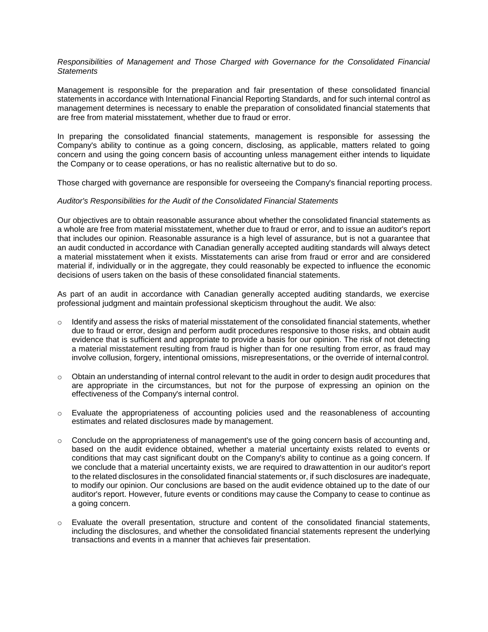## *Responsibilities of Management and Those Charged with Governance for the Consolidated Financial Statements*

Management is responsible for the preparation and fair presentation of these consolidated financial statements in accordance with International Financial Reporting Standards, and for such internal control as management determines is necessary to enable the preparation of consolidated financial statements that are free from material misstatement, whether due to fraud or error.

In preparing the consolidated financial statements, management is responsible for assessing the Company's ability to continue as a going concern, disclosing, as applicable, matters related to going concern and using the going concern basis of accounting unless management either intends to liquidate the Company or to cease operations, or has no realistic alternative but to do so.

Those charged with governance are responsible for overseeing the Company's financial reporting process.

## *Auditor's Responsibilities for the Audit of the Consolidated Financial Statements*

Our objectives are to obtain reasonable assurance about whether the consolidated financial statements as a whole are free from material misstatement, whether due to fraud or error, and to issue an auditor's report that includes our opinion. Reasonable assurance is a high level of assurance, but is not a guarantee that an audit conducted in accordance with Canadian generally accepted auditing standards will always detect a material misstatement when it exists. Misstatements can arise from fraud or error and are considered material if, individually or in the aggregate, they could reasonably be expected to influence the economic decisions of users taken on the basis of these consolidated financial statements.

As part of an audit in accordance with Canadian generally accepted auditing standards, we exercise professional judgment and maintain professional skepticism throughout the audit. We also:

- $\circ$  Identify and assess the risks of material misstatement of the consolidated financial statements, whether due to fraud or error, design and perform audit procedures responsive to those risks, and obtain audit evidence that is sufficient and appropriate to provide a basis for our opinion. The risk of not detecting a material misstatement resulting from fraud is higher than for one resulting from error, as fraud may involve collusion, forgery, intentional omissions, misrepresentations, or the override of internal control.
- $\circ$  Obtain an understanding of internal control relevant to the audit in order to design audit procedures that are appropriate in the circumstances, but not for the purpose of expressing an opinion on the effectiveness of the Company's internal control.
- $\circ$  Evaluate the appropriateness of accounting policies used and the reasonableness of accounting estimates and related disclosures made by management.
- $\circ$  Conclude on the appropriateness of management's use of the going concern basis of accounting and, based on the audit evidence obtained, whether a material uncertainty exists related to events or conditions that may cast significant doubt on the Company's ability to continue as a going concern. If we conclude that a material uncertainty exists, we are required to drawattention in our auditor's report to the related disclosures in the consolidated financial statements or, if such disclosures are inadequate, to modify our opinion. Our conclusions are based on the audit evidence obtained up to the date of our auditor's report. However, future events or conditions may cause the Company to cease to continue as a going concern.
- $\circ$  Evaluate the overall presentation, structure and content of the consolidated financial statements, including the disclosures, and whether the consolidated financial statements represent the underlying transactions and events in a manner that achieves fair presentation.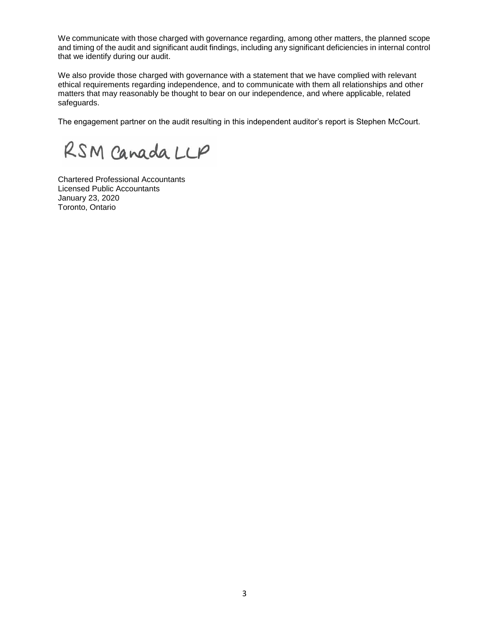We communicate with those charged with governance regarding, among other matters, the planned scope and timing of the audit and significant audit findings, including any significant deficiencies in internal control that we identify during our audit.

We also provide those charged with governance with a statement that we have complied with relevant ethical requirements regarding independence, and to communicate with them all relationships and other matters that may reasonably be thought to bear on our independence, and where applicable, related safeguards.

The engagement partner on the audit resulting in this independent auditor's report is Stephen McCourt.

RSM Canada LLP

Chartered Professional Accountants Licensed Public Accountants January 23, 2020 Toronto, Ontario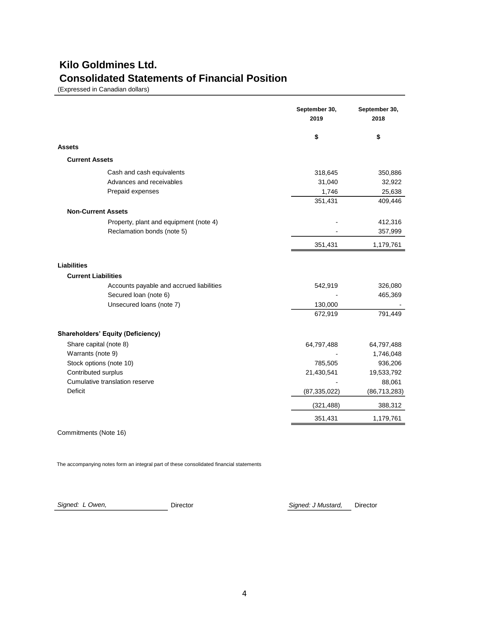## **Kilo Goldmines Ltd. Consolidated Statements of Financial Position**

(Expressed in Canadian dollars)

|                                          | September 30,<br>2019 | September 30,<br>2018 |
|------------------------------------------|-----------------------|-----------------------|
|                                          | \$                    | \$                    |
| Assets                                   |                       |                       |
| <b>Current Assets</b>                    |                       |                       |
| Cash and cash equivalents                | 318,645               | 350,886               |
| Advances and receivables                 | 31,040                | 32,922                |
| Prepaid expenses                         | 1,746                 | 25,638                |
|                                          | 351,431               | 409,446               |
| <b>Non-Current Assets</b>                |                       |                       |
| Property, plant and equipment (note 4)   |                       | 412,316               |
| Reclamation bonds (note 5)               |                       | 357,999               |
|                                          | 351,431               | 1,179,761             |
| <b>Liabilities</b>                       |                       |                       |
| <b>Current Liabilities</b>               |                       |                       |
| Accounts payable and accrued liabilities | 542,919               | 326,080               |
| Secured Ioan (note 6)                    |                       | 465,369               |
| Unsecured loans (note 7)                 | 130,000               |                       |
|                                          | 672,919               | 791,449               |
| <b>Shareholders' Equity (Deficiency)</b> |                       |                       |
| Share capital (note 8)                   | 64,797,488            | 64,797,488            |
| Warrants (note 9)                        |                       | 1,746,048             |
| Stock options (note 10)                  | 785,505               | 936,206               |
| Contributed surplus                      | 21,430,541            | 19,533,792            |
| Cumulative translation reserve           |                       | 88,061                |
| <b>Deficit</b>                           | (87, 335, 022)        | (86, 713, 283)        |
|                                          | (321, 488)            | 388,312               |
|                                          | 351,431               | 1,179,761             |

The accompanying notes form an integral part of these consolidated financial statements

 *Signed: L Owen,* 

Commitments (Note 16)

Director *Signed: J Mustard,* Director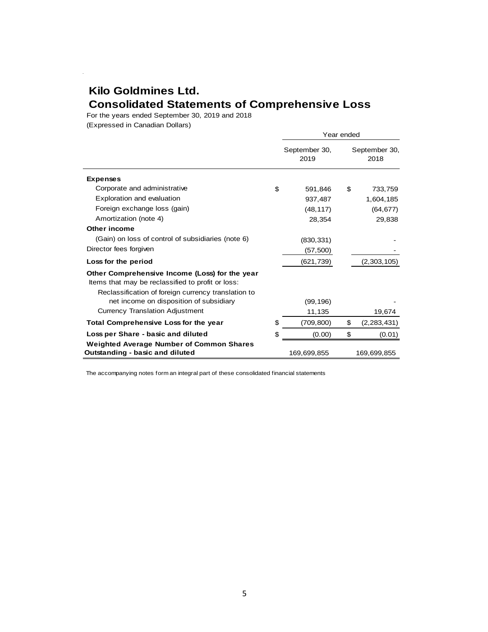## **Kilo Goldmines Ltd. Consolidated Statements of Comprehensive Loss**

For the years ended September 30, 2019 and 2018

(Expressed in Canadian Dollars)

 $\mathcal{L}^{\mathcal{L}}$ 

|                                                                                                                                                            | Year ended            |    |                       |  |  |
|------------------------------------------------------------------------------------------------------------------------------------------------------------|-----------------------|----|-----------------------|--|--|
|                                                                                                                                                            | September 30,<br>2019 |    | September 30,<br>2018 |  |  |
| <b>Expenses</b>                                                                                                                                            |                       |    |                       |  |  |
| Corporate and administrative                                                                                                                               | \$<br>591,846         | \$ | 733,759               |  |  |
| Exploration and evaluation                                                                                                                                 | 937,487               |    | 1,604,185             |  |  |
| Foreign exchange loss (gain)                                                                                                                               | (48, 117)             |    | (64, 677)             |  |  |
| Amortization (note 4)                                                                                                                                      | 28,354                |    | 29,838                |  |  |
| Other income                                                                                                                                               |                       |    |                       |  |  |
| (Gain) on loss of control of subsidiaries (note 6)                                                                                                         | (830, 331)            |    |                       |  |  |
| Director fees forgiven                                                                                                                                     | (57, 500)             |    |                       |  |  |
| Loss for the period                                                                                                                                        | (621,739)             |    | (2,303,105)           |  |  |
| Other Comprehensive Income (Loss) for the year<br>Items that may be reclassified to profit or loss:<br>Reclassification of foreign currency translation to |                       |    |                       |  |  |
| net income on disposition of subsidiary                                                                                                                    | (99, 196)             |    |                       |  |  |
| Currency Translation Adjustment                                                                                                                            | 11,135                |    | 19,674                |  |  |
| Total Comprehensive Loss for the year                                                                                                                      | \$<br>(709,800)       | \$ | (2, 283, 431)         |  |  |
| Loss per Share - basic and diluted                                                                                                                         | \$<br>(0.00)          | \$ | (0.01)                |  |  |
| <b>Weighted Average Number of Common Shares</b><br>Outstanding - basic and diluted                                                                         | 169,699,855           |    | 169,699,855           |  |  |

The accompanying notes form an integral part of these consolidated financial statements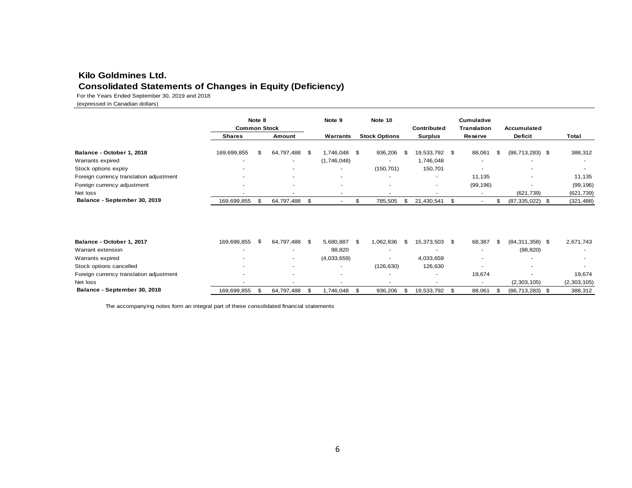## **Consolidated Statements of Changes in Equity (Deficiency) Kilo Goldmines Ltd.**

For the Years Ended September 30, 2019 and 2018

(expressed in Canadian dollars)

|                                         | <b>Common Stock</b> | Note 8 |                          |     | Note 9                   | Note 10              |      | Contributed    |      | Cumulative<br><b>Translation</b> |      | Accumulated              |                          |
|-----------------------------------------|---------------------|--------|--------------------------|-----|--------------------------|----------------------|------|----------------|------|----------------------------------|------|--------------------------|--------------------------|
|                                         | <b>Shares</b>       |        | Amount                   |     | Warrants                 | <b>Stock Options</b> |      | <b>Surplus</b> |      | Reserve                          |      | <b>Deficit</b>           | Total                    |
| Balance - October 1, 2018               | 169,699,855         | Яб.    | 64,797,488               | - S | 1.746.048 \$             | 936,206              | - \$ | 19,533,792 \$  |      | 88,061                           | - 96 | $(86, 713, 283)$ \$      | 388,312                  |
| Warrants expired                        |                     |        | $\overline{\phantom{a}}$ |     | (1,746,048)              |                      |      | 1,746,048      |      |                                  |      | $\overline{\phantom{a}}$ | . .                      |
| Stock options expiry                    |                     |        |                          |     | $\overline{\phantom{a}}$ | (150, 701)           |      | 150,701        |      |                                  |      | $\overline{\phantom{a}}$ | $\overline{\phantom{a}}$ |
| Foreign currency translation adjustment |                     |        |                          |     | $\overline{\phantom{a}}$ |                      |      | ۰              |      | 11,135                           |      | $\overline{\phantom{a}}$ | 11,135                   |
| Foreign currency adjustment             |                     |        |                          |     | $\overline{\phantom{a}}$ | $\sim$               |      |                |      | (99, 196)                        |      |                          | (99, 196)                |
| Net loss                                |                     |        |                          |     |                          |                      |      |                |      |                                  |      | (621, 739)               | (621, 739)               |
| Balance - September 30, 2019            | 169,699,855         |        | 64,797,488 \$            |     | $\overline{\phantom{a}}$ | 785,505              | . ፍ  | 21,430,541     | - \$ |                                  |      | $(87,335,022)$ \$        | (321, 488)               |

| Balance - October 1, 2017               | 169.699.855              | 64.797.488 | 5.680.887   | 1.062.836  | 15.373.503 | 68,387 | $(84,311,358)$ \$ | 2,671,743   |
|-----------------------------------------|--------------------------|------------|-------------|------------|------------|--------|-------------------|-------------|
| Warrant extension                       | $\overline{\phantom{a}}$ |            | 98.820      |            |            |        | (98, 820)         |             |
| Warrants expired                        |                          |            | (4,033,659) |            | 4,033,659  |        | $\sim$            |             |
| Stock options cancelled                 |                          |            |             | (126, 630) | 126,630    |        |                   |             |
| Foreign currency translation adjustment |                          |            |             |            |            | 19,674 |                   | 19.674      |
| Net loss                                |                          |            |             |            |            |        | (2,303,105)       | (2,303,105) |
| Balance - September 30, 2018            | 169.699.855              | 64.797.488 | .746.048    | 936.206    | 19,533,792 | 88,061 | (86.713.283)      | 388,312     |

The accompanying notes form an integral part of these consolidated financial statements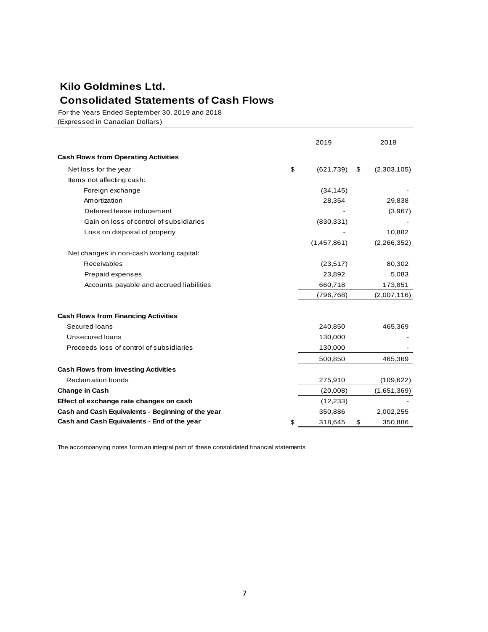## **Kilo Goldmines Ltd.**

## **Consolidated Statements of Cash Flows**

For the Years Ended September 30, 2019 and 2018 (Expressed in Canadian Dollars)

|                                                   | 2019             | 2018              |
|---------------------------------------------------|------------------|-------------------|
| <b>Cash Flows from Operating Activities</b>       |                  |                   |
| Net loss for the year                             | \$<br>(621, 739) | \$<br>(2,303,105) |
| Items not affecting cash:                         |                  |                   |
| Foreign exchange                                  | (34, 145)        |                   |
| Amortization                                      | 28,354           | 29,838            |
| Deferred lease inducement                         |                  | (3,967)           |
| Gain on loss of control of subsidiaries           | (830, 331)       |                   |
| Loss on disposal of property                      |                  | 10,882            |
|                                                   | (1,457,861)      | (2,266,352)       |
| Net changes in non-cash working capital:          |                  |                   |
| Receivables                                       | (23, 517)        | 80,302            |
| Prepaid expenses                                  | 23,892           | 5,083             |
| Accounts payable and accrued liabilities          | 660,718          | 173,851           |
|                                                   | (796, 768)       | (2,007,116)       |
| <b>Cash Flows from Financing Activities</b>       |                  |                   |
| Secured loans                                     | 240,850          | 465,369           |
| Unsecured loans                                   | 130,000          |                   |
| Proceeds loss of control of subsidiaries          | 130,000          |                   |
|                                                   | 500,850          | 465,369           |
| <b>Cash Flows from Investing Activities</b>       |                  |                   |
| <b>Reclamation bonds</b>                          | 275,910          | (109, 622)        |
| <b>Change in Cash</b>                             | (20,008)         | (1,651,369)       |
| Effect of exchange rate changes on cash           | (12, 233)        |                   |
| Cash and Cash Equivalents - Beginning of the year | 350,886          | 2,002,255         |
| Cash and Cash Equivalents - End of the year       | \$<br>318,645    | \$<br>350,886     |

The accompanying notes form an integral part of these consolidated financial statements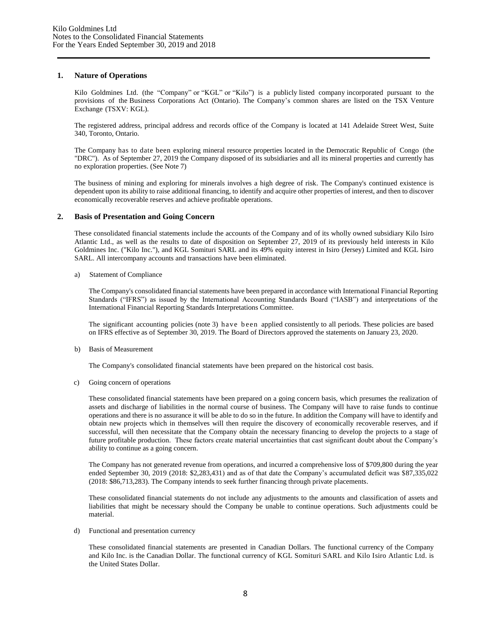### **1. Nature of Operations**

Kilo Goldmines Ltd. (the "Company" or "KGL" or "Kilo") is a publicly listed company incorporated pursuant to the provisions of the Business Corporations Act (Ontario). The Company's common shares are listed on the TSX Venture Exchange (TSXV: KGL).

The registered address, principal address and records office of the Company is located at 141 Adelaide Street West, Suite 340, Toronto, Ontario.

The Company has to date been exploring mineral resource properties located in the Democratic Republic of Congo (the "DRC"). As of September 27, 2019 the Company disposed of its subsidiaries and all its mineral properties and currently has no exploration properties. (See Note 7)

The business of mining and exploring for minerals involves a high degree of risk. The Company's continued existence is dependent upon its ability to raise additional financing, to identify and acquire other properties of interest, and then to discover economically recoverable reserves and achieve profitable operations.

#### **2. Basis of Presentation and Going Concern**

These consolidated financial statements include the accounts of the Company and of its wholly owned subsidiary Kilo Isiro Atlantic Ltd., as well as the results to date of disposition on September 27, 2019 of its previously held interests in Kilo Goldmines Inc. ("Kilo Inc."), and KGL Somituri SARL and its 49% equity interest in Isiro (Jersey) Limited and KGL Isiro SARL. All intercompany accounts and transactions have been eliminated.

a) Statement of Compliance

The Company's consolidated financial statements have been prepared in accordance with International Financial Reporting Standards ("IFRS") as issued by the International Accounting Standards Board ("IASB") and interpretations of the International Financial Reporting Standards Interpretations Committee.

The significant accounting policies (note 3) have been applied consistently to all periods. These policies are based on IFRS effective as of September 30, 2019. The Board of Directors approved the statements on January 23, 2020.

b) Basis of Measurement

The Company's consolidated financial statements have been prepared on the historical cost basis.

c) Going concern of operations

These consolidated financial statements have been prepared on a going concern basis, which presumes the realization of assets and discharge of liabilities in the normal course of business. The Company will have to raise funds to continue operations and there is no assurance it will be able to do so in the future. In addition the Company will have to identify and obtain new projects which in themselves will then require the discovery of economically recoverable reserves, and if successful, will then necessitate that the Company obtain the necessary financing to develop the projects to a stage of future profitable production. These factors create material uncertainties that cast significant doubt about the Company's ability to continue as a going concern.

The Company has not generated revenue from operations, and incurred a comprehensive loss of \$709,800 during the year ended September 30, 2019 (2018: \$2,283,431) and as of that date the Company's accumulated deficit was \$87,335,022 (2018: \$86,713,283). The Company intends to seek further financing through private placements.

These consolidated financial statements do not include any adjustments to the amounts and classification of assets and liabilities that might be necessary should the Company be unable to continue operations. Such adjustments could be material.

d) Functional and presentation currency

These consolidated financial statements are presented in Canadian Dollars. The functional currency of the Company and Kilo Inc. is the Canadian Dollar. The functional currency of KGL Somituri SARL and Kilo Isiro Atlantic Ltd. is the United States Dollar.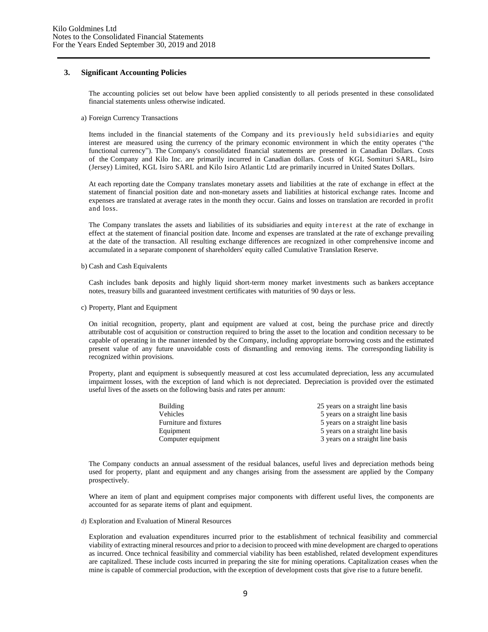## **3. Significant Accounting Policies**

The accounting policies set out below have been applied consistently to all periods presented in these consolidated financial statements unless otherwise indicated.

a) Foreign Currency Transactions

Items included in the financial statements of the Company and its previously held subsidiaries and equity interest are measured using the currency of the primary economic environment in which the entity operates ("the functional currency"). The Company's consolidated financial statements are presented in Canadian Dollars. Costs of the Company and Kilo Inc. are primarily incurred in Canadian dollars. Costs of KGL Somituri SARL, Isiro (Jersey) Limited, KGL Isiro SARL and Kilo Isiro Atlantic Ltd are primarily incurred in United States Dollars.

At each reporting date the Company translates monetary assets and liabilities at the rate of exchange in effect at the statement of financial position date and non-monetary assets and liabilities at historical exchange rates. Income and expenses are translated at average rates in the month they occur. Gains and losses on translation are recorded in profit and loss.

The Company translates the assets and liabilities of its subsidiaries and equity interest at the rate of exchange in effect at the statement of financial position date. Income and expenses are translated at the rate of exchange prevailing at the date of the transaction. All resulting exchange differences are recognized in other comprehensive income and accumulated in a separate component of shareholders' equity called Cumulative Translation Reserve.

#### b) Cash and Cash Equivalents

Cash includes bank deposits and highly liquid short-term money market investments such as bankers acceptance notes, treasury bills and guaranteed investment certificates with maturities of 90 days or less.

#### c) Property, Plant and Equipment

On initial recognition, property, plant and equipment are valued at cost, being the purchase price and directly attributable cost of acquisition or construction required to bring the asset to the location and condition necessary to be capable of operating in the manner intended by the Company, including appropriate borrowing costs and the estimated present value of any future unavoidable costs of dismantling and removing items. The corresponding liability is recognized within provisions.

Property, plant and equipment is subsequently measured at cost less accumulated depreciation, less any accumulated impairment losses, with the exception of land which is not depreciated. Depreciation is provided over the estimated useful lives of the assets on the following basis and rates per annum:

| <b>Building</b>        | 25 years on a straight line basis |
|------------------------|-----------------------------------|
| <b>Vehicles</b>        | 5 years on a straight line basis  |
| Furniture and fixtures | 5 years on a straight line basis  |
| Equipment              | 5 years on a straight line basis  |
| Computer equipment     | 3 years on a straight line basis  |

The Company conducts an annual assessment of the residual balances, useful lives and depreciation methods being used for property, plant and equipment and any changes arising from the assessment are applied by the Company prospectively.

Where an item of plant and equipment comprises major components with different useful lives, the components are accounted for as separate items of plant and equipment.

#### d) Exploration and Evaluation of Mineral Resources

Exploration and evaluation expenditures incurred prior to the establishment of technical feasibility and commercial viability of extracting mineral resources and prior to a decision to proceed with mine development are charged to operations as incurred. Once technical feasibility and commercial viability has been established, related development expenditures are capitalized. These include costs incurred in preparing the site for mining operations. Capitalization ceases when the mine is capable of commercial production, with the exception of development costs that give rise to a future benefit.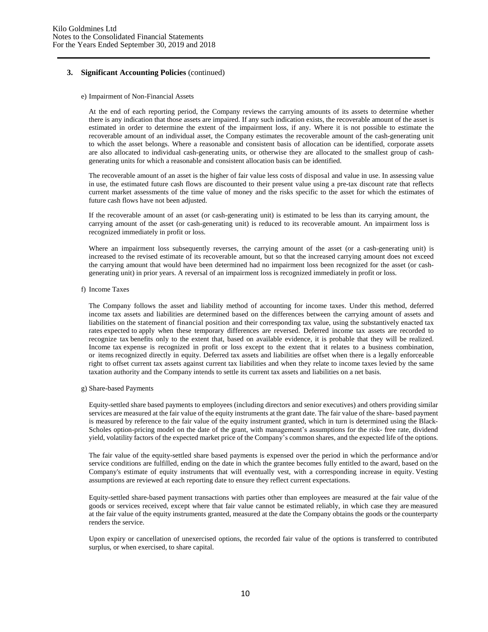#### e) Impairment of Non-Financial Assets

At the end of each reporting period, the Company reviews the carrying amounts of its assets to determine whether there is any indication that those assets are impaired. If any such indication exists, the recoverable amount of the asset is estimated in order to determine the extent of the impairment loss, if any. Where it is not possible to estimate the recoverable amount of an individual asset, the Company estimates the recoverable amount of the cash-generating unit to which the asset belongs. Where a reasonable and consistent basis of allocation can be identified, corporate assets are also allocated to individual cash-generating units, or otherwise they are allocated to the smallest group of cashgenerating units for which a reasonable and consistent allocation basis can be identified.

The recoverable amount of an asset is the higher of fair value less costs of disposal and value in use. In assessing value in use, the estimated future cash flows are discounted to their present value using a pre-tax discount rate that reflects current market assessments of the time value of money and the risks specific to the asset for which the estimates of future cash flows have not been adjusted.

If the recoverable amount of an asset (or cash-generating unit) is estimated to be less than its carrying amount, the carrying amount of the asset (or cash-generating unit) is reduced to its recoverable amount. An impairment loss is recognized immediately in profit or loss.

Where an impairment loss subsequently reverses, the carrying amount of the asset (or a cash-generating unit) is increased to the revised estimate of its recoverable amount, but so that the increased carrying amount does not exceed the carrying amount that would have been determined had no impairment loss been recognized for the asset (or cashgenerating unit) in prior years. A reversal of an impairment loss is recognized immediately in profit or loss.

#### f) Income Taxes

The Company follows the asset and liability method of accounting for income taxes. Under this method, deferred income tax assets and liabilities are determined based on the differences between the carrying amount of assets and liabilities on the statement of financial position and their corresponding tax value, using the substantively enacted tax rates expected to apply when these temporary differences are reversed. Deferred income tax assets are recorded to recognize tax benefits only to the extent that, based on available evidence, it is probable that they will be realized. Income tax expense is recognized in profit or loss except to the extent that it relates to a business combination, or items recognized directly in equity. Deferred tax assets and liabilities are offset when there is a legally enforceable right to offset current tax assets against current tax liabilities and when they relate to income taxes levied by the same taxation authority and the Company intends to settle its current tax assets and liabilities on a net basis.

#### g) Share-based Payments

Equity-settled share based payments to employees (including directors and senior executives) and others providing similar services are measured at the fair value of the equity instruments at the grant date. The fair value of the share- based payment is measured by reference to the fair value of the equity instrument granted, which in turn is determined using the Black-Scholes option-pricing model on the date of the grant, with management's assumptions for the risk- free rate, dividend yield, volatility factors of the expected market price of the Company's common shares, and the expected life of the options.

The fair value of the equity-settled share based payments is expensed over the period in which the performance and/or service conditions are fulfilled, ending on the date in which the grantee becomes fully entitled to the award, based on the Company's estimate of equity instruments that will eventually vest, with a corresponding increase in equity. Vesting assumptions are reviewed at each reporting date to ensure they reflect current expectations.

Equity-settled share-based payment transactions with parties other than employees are measured at the fair value of the goods or services received, except where that fair value cannot be estimated reliably, in which case they are measured at the fair value of the equity instruments granted, measured at the date the Company obtains the goods or the counterparty renders the service.

Upon expiry or cancellation of unexercised options, the recorded fair value of the options is transferred to contributed surplus, or when exercised, to share capital.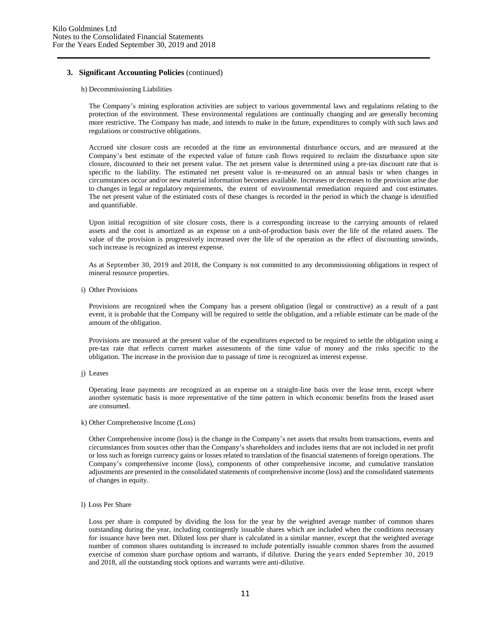h) Decommissioning Liabilities

The Company's mining exploration activities are subject to various governmental laws and regulations relating to the protection of the environment. These environmental regulations are continually changing and are generally becoming more restrictive. The Company has made, and intends to make in the future, expenditures to comply with such laws and regulations or constructive obligations.

Accrued site closure costs are recorded at the time an environmental disturbance occurs, and are measured at the Company's best estimate of the expected value of future cash flows required to reclaim the disturbance upon site closure, discounted to their net present value. The net present value is determined using a pre-tax discount rate that is specific to the liability. The estimated net present value is re-measured on an annual basis or when changes in circumstances occur and/or new material information becomes available. Increases or decreases to the provision arise due to changes in legal or regulatory requirements, the extent of environmental remediation required and cost estimates. The net present value of the estimated costs of these changes is recorded in the period in which the change is identified and quantifiable.

Upon initial recognition of site closure costs, there is a corresponding increase to the carrying amounts of related assets and the cost is amortized as an expense on a unit-of-production basis over the life of the related assets. The value of the provision is progressively increased over the life of the operation as the effect of discounting unwinds, such increase is recognized as interest expense.

As at September 30, 2019 and 2018, the Company is not committed to any decommissioning obligations in respect of mineral resource properties.

i) Other Provisions

Provisions are recognized when the Company has a present obligation (legal or constructive) as a result of a past event, it is probable that the Company will be required to settle the obligation, and a reliable estimate can be made of the amount of the obligation.

Provisions are measured at the present value of the expenditures expected to be required to settle the obligation using a pre-tax rate that reflects current market assessments of the time value of money and the risks specific to the obligation. The increase in the provision due to passage of time is recognized as interest expense.

j) Leases

Operating lease payments are recognized as an expense on a straight-line basis over the lease term, except where another systematic basis is more representative of the time pattern in which economic benefits from the leased asset are consumed.

k) Other Comprehensive Income (Loss)

Other Comprehensive income (loss) is the change in the Company's net assets that results from transactions, events and circumstances from sources other than the Company's shareholders and includes items that are not included in net profit or loss such as foreign currency gains or losses related to translation of the financial statements of foreign operations. The Company's comprehensive income (loss), components of other comprehensive income, and cumulative translation adjustments are presented in the consolidated statements of comprehensive income (loss) and the consolidated statements of changes in equity.

l) Loss Per Share

Loss per share is computed by dividing the loss for the year by the weighted average number of common shares outstanding during the year, including contingently issuable shares which are included when the conditions necessary for issuance have been met. Diluted loss per share is calculated in a similar manner, except that the weighted average number of common shares outstanding is increased to include potentially issuable common shares from the assumed exercise of common share purchase options and warrants, if dilutive. During the years ended September 30, 2019 and 2018, all the outstanding stock options and warrants were anti-dilutive.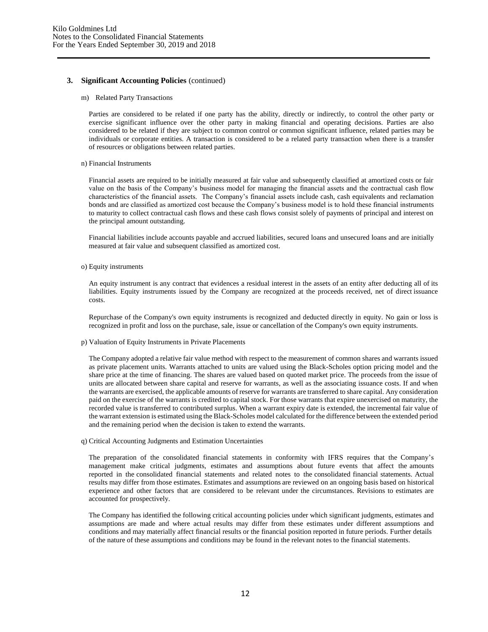#### m) Related Party Transactions

Parties are considered to be related if one party has the ability, directly or indirectly, to control the other party or exercise significant influence over the other party in making financial and operating decisions. Parties are also considered to be related if they are subject to common control or common significant influence, related parties may be individuals or corporate entities. A transaction is considered to be a related party transaction when there is a transfer of resources or obligations between related parties.

#### n) Financial Instruments

Financial assets are required to be initially measured at fair value and subsequently classified at amortized costs or fair value on the basis of the Company's business model for managing the financial assets and the contractual cash flow characteristics of the financial assets. The Company's financial assets include cash, cash equivalents and reclamation bonds and are classified as amortized cost because the Company's business model is to hold these financial instruments to maturity to collect contractual cash flows and these cash flows consist solely of payments of principal and interest on the principal amount outstanding.

Financial liabilities include accounts payable and accrued liabilities, secured loans and unsecured loans and are initially measured at fair value and subsequent classified as amortized cost.

o) Equity instruments

An equity instrument is any contract that evidences a residual interest in the assets of an entity after deducting all of its liabilities. Equity instruments issued by the Company are recognized at the proceeds received, net of direct issuance costs.

Repurchase of the Company's own equity instruments is recognized and deducted directly in equity. No gain or loss is recognized in profit and loss on the purchase, sale, issue or cancellation of the Company's own equity instruments.

p) Valuation of Equity Instruments in Private Placements

The Company adopted a relative fair value method with respect to the measurement of common shares and warrants issued as private placement units. Warrants attached to units are valued using the Black-Scholes option pricing model and the share price at the time of financing. The shares are valued based on quoted market price. The proceeds from the issue of units are allocated between share capital and reserve for warrants, as well as the associating issuance costs. If and when the warrants are exercised, the applicable amounts of reserve for warrants are transferred to share capital. Any consideration paid on the exercise of the warrants is credited to capital stock. For those warrants that expire unexercised on maturity, the recorded value is transferred to contributed surplus. When a warrant expiry date is extended, the incremental fair value of the warrant extension is estimated using the Black-Scholes model calculated for the difference between the extended period and the remaining period when the decision is taken to extend the warrants.

#### q) Critical Accounting Judgments and Estimation Uncertainties

The preparation of the consolidated financial statements in conformity with IFRS requires that the Company's management make critical judgments, estimates and assumptions about future events that affect the amounts reported in the consolidated financial statements and related notes to the consolidated financial statements. Actual results may differ from those estimates. Estimates and assumptions are reviewed on an ongoing basis based on historical experience and other factors that are considered to be relevant under the circumstances. Revisions to estimates are accounted for prospectively.

The Company has identified the following critical accounting policies under which significant judgments, estimates and assumptions are made and where actual results may differ from these estimates under different assumptions and conditions and may materially affect financial results or the financial position reported in future periods. Further details of the nature of these assumptions and conditions may be found in the relevant notes to the financial statements.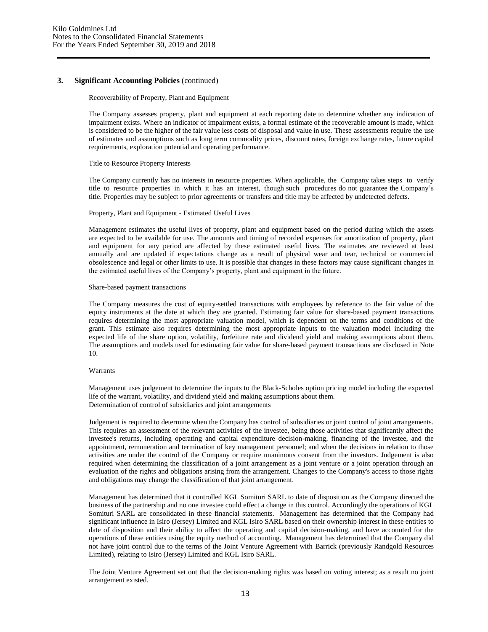Recoverability of Property, Plant and Equipment

The Company assesses property, plant and equipment at each reporting date to determine whether any indication of impairment exists. Where an indicator of impairment exists, a formal estimate of the recoverable amount is made, which is considered to be the higher of the fair value less costs of disposal and value in use. These assessments require the use of estimates and assumptions such as long term commodity prices, discount rates, foreign exchange rates, future capital requirements, exploration potential and operating performance.

#### Title to Resource Property Interests

The Company currently has no interests in resource properties. When applicable, the Company takes steps to verify title to resource properties in which it has an interest, though such procedures do not guarantee the Company's title. Properties may be subject to prior agreements or transfers and title may be affected by undetected defects.

#### Property, Plant and Equipment - Estimated Useful Lives

Management estimates the useful lives of property, plant and equipment based on the period during which the assets are expected to be available for use. The amounts and timing of recorded expenses for amortization of property, plant and equipment for any period are affected by these estimated useful lives. The estimates are reviewed at least annually and are updated if expectations change as a result of physical wear and tear, technical or commercial obsolescence and legal or other limits to use. It is possible that changes in these factors may cause significant changes in the estimated useful lives of the Company's property, plant and equipment in the future.

#### Share-based payment transactions

The Company measures the cost of equity-settled transactions with employees by reference to the fair value of the equity instruments at the date at which they are granted. Estimating fair value for share-based payment transactions requires determining the most appropriate valuation model, which is dependent on the terms and conditions of the grant. This estimate also requires determining the most appropriate inputs to the valuation model including the expected life of the share option, volatility, forfeiture rate and dividend yield and making assumptions about them. The assumptions and models used for estimating fair value for share-based payment transactions are disclosed in Note 10.

#### **Warrants**

Management uses judgement to determine the inputs to the Black-Scholes option pricing model including the expected life of the warrant, volatility, and dividend yield and making assumptions about them. Determination of control of subsidiaries and joint arrangements

Judgement is required to determine when the Company has control of subsidiaries or joint control of joint arrangements. This requires an assessment of the relevant activities of the investee, being those activities that significantly affect the investee's returns, including operating and capital expenditure decision-making, financing of the investee, and the appointment, remuneration and termination of key management personnel; and when the decisions in relation to those activities are under the control of the Company or require unanimous consent from the investors. Judgement is also required when determining the classification of a joint arrangement as a joint venture or a joint operation through an evaluation of the rights and obligations arising from the arrangement. Changes to the Company's access to those rights and obligations may change the classification of that joint arrangement.

Management has determined that it controlled KGL Somituri SARL to date of disposition as the Company directed the business of the partnership and no one investee could effect a change in this control. Accordingly the operations of KGL Somituri SARL are consolidated in these financial statements. Management has determined that the Company had significant influence in Isiro (Jersey) Limited and KGL Isiro SARL based on their ownership interest in these entities to date of disposition and their ability to affect the operating and capital decision-making, and have accounted for the operations of these entities using the equity method of accounting. Management has determined that the Company did not have joint control due to the terms of the Joint Venture Agreement with Barrick (previously Randgold Resources Limited), relating to Isiro (Jersey) Limited and KGL Isiro SARL.

The Joint Venture Agreement set out that the decision-making rights was based on voting interest; as a result no joint arrangement existed.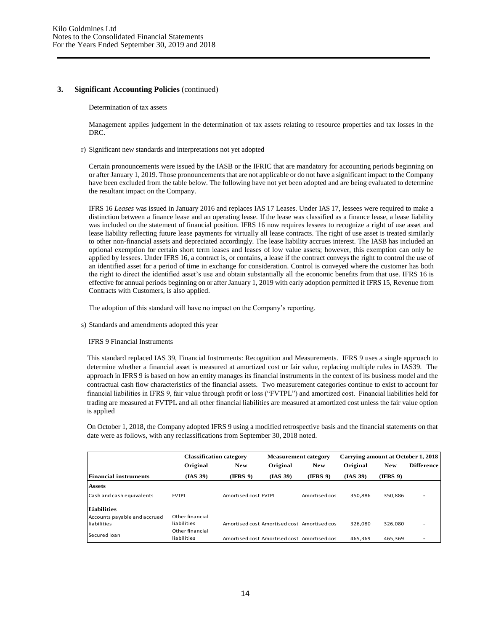Determination of tax assets

Management applies judgement in the determination of tax assets relating to resource properties and tax losses in the DRC.

r) Significant new standards and interpretations not yet adopted

Certain pronouncements were issued by the IASB or the IFRIC that are mandatory for accounting periods beginning on or after January 1, 2019. Those pronouncements that are not applicable or do not have a significant impact to the Company have been excluded from the table below. The following have not yet been adopted and are being evaluated to determine the resultant impact on the Company.

IFRS 16 *Leases* was issued in January 2016 and replaces IAS 17 Leases. Under IAS 17, lessees were required to make a distinction between a finance lease and an operating lease. If the lease was classified as a finance lease, a lease liability was included on the statement of financial position. IFRS 16 now requires lessees to recognize a right of use asset and lease liability reflecting future lease payments for virtually all lease contracts. The right of use asset is treated similarly to other non-financial assets and depreciated accordingly. The lease liability accrues interest. The IASB has included an optional exemption for certain short term leases and leases of low value assets; however, this exemption can only be applied by lessees. Under IFRS 16, a contract is, or contains, a lease if the contract conveys the right to control the use of an identified asset for a period of time in exchange for consideration. Control is conveyed where the customer has both the right to direct the identified asset's use and obtain substantially all the economic benefits from that use. IFRS 16 is effective for annual periods beginning on or after January 1, 2019 with early adoption permitted if IFRS 15, Revenue from Contracts with Customers, is also applied.

The adoption of this standard will have no impact on the Company's reporting.

- s) Standards and amendments adopted this year
	- IFRS 9 Financial Instruments

This standard replaced IAS 39, Financial Instruments: Recognition and Measurements. IFRS 9 uses a single approach to determine whether a financial asset is measured at amortized cost or fair value, replacing multiple rules in IAS39. The approach in IFRS 9 is based on how an entity manages its financial instruments in the context of its business model and the contractual cash flow characteristics of the financial assets. Two measurement categories continue to exist to account for financial liabilities in IFRS 9, fair value through profit or loss ("FVTPL") and amortized cost. Financial liabilities held for trading are measured at FVTPL and all other financial liabilities are measured at amortized cost unless the fair value option is applied

On October 1, 2018, the Company adopted IFRS 9 using a modified retrospective basis and the financial statements on that date were as follows, with any reclassifications from September 30, 2018 noted.

|                              | <b>Classification category</b> |                      | <b>Measurement category</b>                  |                | Carrying amount at October 1, 2018 |            |                   |  |  |
|------------------------------|--------------------------------|----------------------|----------------------------------------------|----------------|------------------------------------|------------|-------------------|--|--|
|                              | Original                       | <b>New</b>           | Original                                     | <b>New</b>     | Original                           | <b>New</b> | <b>Difference</b> |  |  |
| <b>Financial instruments</b> | (IAS 39)                       | (IFRS 9)             | (IAS 39)                                     | (IFRS 9)       | (IAS 39)                           | (IFRS 9)   |                   |  |  |
| <b>Assets</b>                |                                |                      |                                              |                |                                    |            |                   |  |  |
| Cash and cash equivalents    | <b>FVTPL</b>                   | Amortised cost FVTPL |                                              | Amortised cos: | 350.886                            | 350.886    |                   |  |  |
| <b>Liabilities</b>           |                                |                      |                                              |                |                                    |            |                   |  |  |
| Accounts payable and accrued | Other financial                |                      |                                              |                |                                    |            |                   |  |  |
| liabilities                  | liabilities                    |                      | Amortised cost Amortised cost Amortised cost |                | 326.080                            | 326.080    |                   |  |  |
| Secured Joan                 | Other financial                |                      |                                              |                |                                    |            |                   |  |  |
|                              | liabilities                    |                      | Amortised cost Amortised cost Amortised cost |                | 465.369                            | 465.369    |                   |  |  |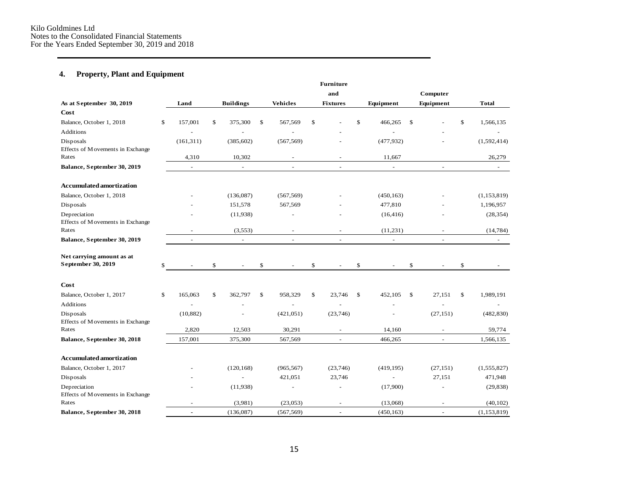## **4. Property, Plant and Equipment**

|                                                  |              |                          |             |                          |               |                          | Furniture                |             |            |               |                          |              |                          |
|--------------------------------------------------|--------------|--------------------------|-------------|--------------------------|---------------|--------------------------|--------------------------|-------------|------------|---------------|--------------------------|--------------|--------------------------|
|                                                  |              |                          |             |                          |               |                          | and                      |             |            |               | Computer                 |              |                          |
| As at September 30, 2019                         |              | Land                     |             | <b>Buildings</b>         |               | <b>Vehicles</b>          | <b>Fixtures</b>          |             | Equipment  |               | Equipment                |              | <b>Total</b>             |
| Cost                                             |              |                          |             |                          |               |                          |                          |             |            |               |                          |              |                          |
| Balance, October 1, 2018                         | \$           | 157,001                  | \$          | 375,300                  | $\mathcal{S}$ | 567,569                  | \$                       | \$          | 466,265    | $\mathcal{S}$ |                          | $\mathbb{S}$ | 1,566,135                |
| Additions                                        |              |                          |             |                          |               |                          |                          |             |            |               |                          |              |                          |
| Disposals<br>Effects of Movements in Exchange    |              | (161, 311)               |             | (385, 602)               |               | (567, 569)               |                          |             | (477, 932) |               |                          |              | (1,592,414)              |
| Rates                                            |              | 4,310                    |             | 10,302                   |               |                          |                          |             | 11,667     |               |                          |              | 26,279                   |
| Balance, September 30, 2019                      |              | $\overline{\phantom{a}}$ |             | $\sim$                   |               | ÷.                       | $\sim$                   |             | $\bar{a}$  |               | $\overline{a}$           |              | $\overline{\phantom{a}}$ |
| <b>Accumulated amortization</b>                  |              |                          |             |                          |               |                          |                          |             |            |               |                          |              |                          |
| Balance, October 1, 2018                         |              |                          |             | (136,087)                |               | (567, 569)               |                          |             | (450, 163) |               |                          |              | (1, 153, 819)            |
| Disposals                                        |              |                          |             | 151,578                  |               | 567,569                  |                          |             | 477,810    |               |                          |              | 1,196,957                |
| Depreciation<br>Effects of Movements in Exchange |              |                          |             | (11,938)                 |               |                          |                          |             | (16, 416)  |               |                          |              | (28, 354)                |
| Rates                                            |              |                          |             | (3,553)                  |               |                          |                          |             | (11,231)   |               |                          |              | (14, 784)                |
| Balance, September 30, 2019                      |              | $\bar{\phantom{a}}$      |             | $\overline{\phantom{a}}$ |               | $\overline{\phantom{a}}$ | $\bar{a}$                |             | ÷,         |               | $\bar{a}$                |              | $\sim$                   |
| Net carrying amount as at<br>September 30, 2019  | \$           |                          | \$          |                          | \$            |                          | \$                       | \$          |            | \$            |                          | \$           |                          |
| Cost                                             |              |                          |             |                          |               |                          |                          |             |            |               |                          |              |                          |
| Balance, October 1, 2017                         | $\mathbb{S}$ | 165,063                  | $\mathbb S$ | 362,797                  | \$            | 958,329                  | \$<br>23,746             | $\mathbf S$ | 452,105    | $\mathbb{S}$  | 27,151                   | $\mathbb{S}$ | 1,989,191                |
| Additions                                        |              |                          |             |                          |               |                          |                          |             |            |               |                          |              |                          |
| Disposals<br>Effects of Movements in Exchange    |              | (10, 882)                |             |                          |               | (421, 051)               | (23,746)                 |             |            |               | (27, 151)                |              | (482, 830)               |
| Rates                                            |              | 2,820                    |             | 12,503                   |               | 30,291                   | $\overline{\phantom{a}}$ |             | 14,160     |               | $\overline{\phantom{a}}$ |              | 59,774                   |
| Balance, September 30, 2018                      |              | 157,001                  |             | 375,300                  |               | 567,569                  | $\omega$                 |             | 466,265    |               | $\sim$                   |              | 1,566,135                |
| <b>Accumulated amortization</b>                  |              |                          |             |                          |               |                          |                          |             |            |               |                          |              |                          |
| Balance, October 1, 2017                         |              |                          |             | (120, 168)               |               | (965, 567)               | (23,746)                 |             | (419, 195) |               | (27, 151)                |              | (1, 555, 827)            |
| Disposals                                        |              |                          |             |                          |               | 421,051                  | 23,746                   |             |            |               | 27,151                   |              | 471,948                  |
| Depreciation                                     |              |                          |             | (11,938)                 |               |                          |                          |             | (17,900)   |               |                          |              | (29, 838)                |
| Effects of Movements in Exchange<br>Rates        |              |                          |             | (3,981)                  |               | (23,053)                 |                          |             | (13,068)   |               |                          |              | (40, 102)                |
| Balance, September 30, 2018                      |              | ٠                        |             | (136,087)                |               | (567, 569)               | $\overline{a}$           |             | (450, 163) |               | $\overline{a}$           |              | (1, 153, 819)            |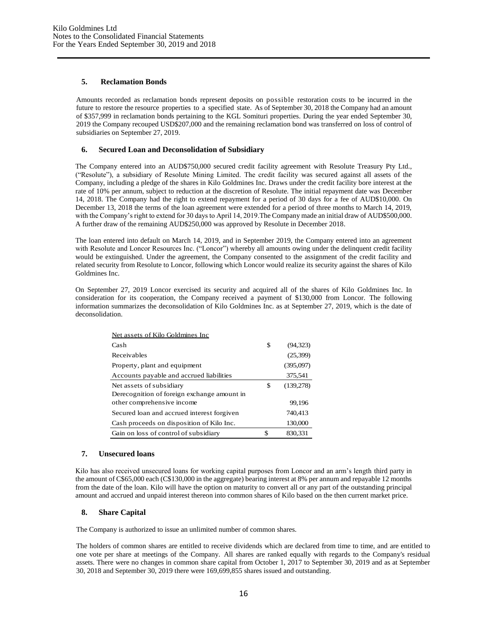## **5. Reclamation Bonds**

Amounts recorded as reclamation bonds represent deposits on possible restoration costs to be incurred in the future to restore the resource properties to a specified state. As of September 30, 2018 the Company had an amount of \$357,999 in reclamation bonds pertaining to the KGL Somituri properties. During the year ended September 30, 2019 the Company recouped USD\$207,000 and the remaining reclamation bond was transferred on loss of control of subsidiaries on September 27, 2019.

## **6. Secured Loan and Deconsolidation of Subsidiary**

The Company entered into an AUD\$750,000 secured credit facility agreement with Resolute Treasury Pty Ltd., ("Resolute"), a subsidiary of Resolute Mining Limited. The credit facility was secured against all assets of the Company, including a pledge of the shares in Kilo Goldmines Inc. Draws under the credit facility bore interest at the rate of 10% per annum, subject to reduction at the discretion of Resolute. The initial repayment date was December 14, 2018. The Company had the right to extend repayment for a period of 30 days for a fee of AUD\$10,000. On December 13, 2018 the terms of the loan agreement were extended for a period of three months to March 14, 2019, with the Company's right to extend for 30 days to April 14, 2019.The Company made an initial draw of AUD\$500,000. A further draw of the remaining AUD\$250,000 was approved by Resolute in December 2018.

The loan entered into default on March 14, 2019, and in September 2019, the Company entered into an agreement with Resolute and Loncor Resources Inc. ("Loncor") whereby all amounts owing under the delinquent credit facility would be extinguished. Under the agreement, the Company consented to the assignment of the credit facility and related security from Resolute to Loncor, following which Loncor would realize its security against the shares of Kilo Goldmines Inc.

On September 27, 2019 Loncor exercised its security and acquired all of the shares of Kilo Goldmines Inc. In consideration for its cooperation, the Company received a payment of \$130,000 from Loncor. The following information summarizes the deconsolidation of Kilo Goldmines Inc. as at September 27, 2019, which is the date of deconsolidation.

| Net assets of Kilo Goldmines Inc            |                 |
|---------------------------------------------|-----------------|
| Cash                                        | \$<br>(94, 323) |
| Receivables                                 | (25,399)        |
| Property, plant and equipment               | (395,097)       |
| Accounts payable and accrued liabilities    | 375,541         |
| Net assets of subsidiary                    | \$<br>(139,278) |
| Derecognition of foreign exchange amount in |                 |
| other comprehensive income                  | 99.196          |
| Secured loan and accrued interest forgiven  | 740,413         |
| Cash proceeds on disposition of Kilo Inc.   | 130,000         |
| Gain on loss of control of subsidiary       | \$<br>830.331   |

## **7. Unsecured loans**

Kilo has also received unsecured loans for working capital purposes from Loncor and an arm's length third party in the amount of C\$65,000 each (C\$130,000 in the aggregate) bearing interest at 8% per annum and repayable 12 months from the date of the loan. Kilo will have the option on maturity to convert all or any part of the outstanding principal amount and accrued and unpaid interest thereon into common shares of Kilo based on the then current market price.

## **8. Share Capital**

The Company is authorized to issue an unlimited number of common shares.

The holders of common shares are entitled to receive dividends which are declared from time to time, and are entitled to one vote per share at meetings of the Company. All shares are ranked equally with regards to the Company's residual assets. There were no changes in common share capital from October 1, 2017 to September 30, 2019 and as at September 30, 2018 and September 30, 2019 there were 169,699,855 shares issued and outstanding.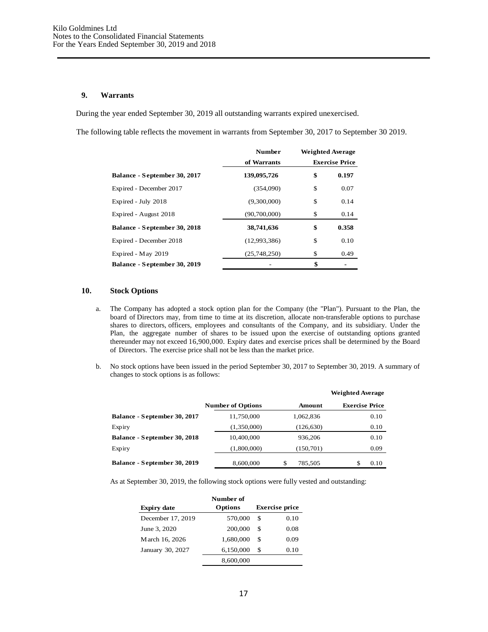## **9. Warrants**

During the year ended September 30, 2019 all outstanding warrants expired unexercised.

The following table reflects the movement in warrants from September 30, 2017 to September 30 2019.

|                              | <b>Number</b> |                       | <b>Weighted Average</b> |  |  |
|------------------------------|---------------|-----------------------|-------------------------|--|--|
|                              | of Warrants   | <b>Exercise Price</b> |                         |  |  |
| Balance - September 30, 2017 | 139,095,726   | \$                    | 0.197                   |  |  |
| Expired - December 2017      | (354.090)     | \$                    | 0.07                    |  |  |
| Expired - July 2018          | (9,300,000)   | \$                    | 0.14                    |  |  |
| Expired - August 2018        | (90,700,000)  | \$                    | 0.14                    |  |  |
| Balance - September 30, 2018 | 38,741,636    | \$                    | 0.358                   |  |  |
| Expired - December 2018      | (12,993,386)  | \$                    | 0.10                    |  |  |
| Expired - May 2019           | (25,748,250)  | \$                    | 0.49                    |  |  |
| Balance - September 30, 2019 |               | \$                    |                         |  |  |

## **10. Stock Options**

- a. The Company has adopted a stock option plan for the Company (the "Plan"). Pursuant to the Plan, the board of Directors may, from time to time at its discretion, allocate non-transferable options to purchase shares to directors, officers, employees and consultants of the Company, and its subsidiary. Under the Plan, the aggregate number of shares to be issued upon the exercise of outstanding options granted thereunder may not exceed 16,900,000. Expiry dates and exercise prices shall be determined by the Board of Directors. The exercise price shall not be less than the market price.
- b. No stock options have been issued in the period September 30, 2017 to September 30, 2019. A summary of changes to stock options is as follows:

|                                     |                          |              | <b>Weighted Average</b> |
|-------------------------------------|--------------------------|--------------|-------------------------|
|                                     | <b>Number of Options</b> | Amount       | <b>Exercise Price</b>   |
| <b>Balance - September 30, 2017</b> | 11.750,000               | 1,062,836    | 0.10                    |
| Expiry                              | (1,350,000)              | (126, 630)   | 0.10                    |
| <b>Balance - September 30, 2018</b> | 10,400,000               | 936,206      | 0.10                    |
| Expiry                              | (1,800,000)              | (150, 701)   | 0.09                    |
| <b>Balance - September 30, 2019</b> | 8,600,000                | 785,505<br>S | 0.10                    |

As at September 30, 2019, the following stock options were fully vested and outstanding:

|                    | Number of |                       |      |
|--------------------|-----------|-----------------------|------|
| <b>Expiry date</b> | Options   | <b>Exercise</b> price |      |
| December 17, 2019  | 570,000   | S.                    | 0.10 |
| June 3, 2020       | 200,000   | S.                    | 0.08 |
| March 16, 2026     | 1.680.000 | S.                    | 0.09 |
| January 30, 2027   | 6,150,000 | \$                    | 0.10 |
|                    | 8,600,000 |                       |      |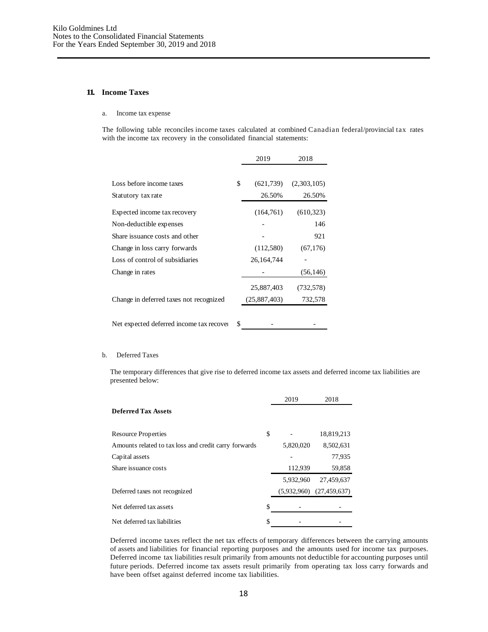### **11. Income Taxes**

#### a. Income tax expense

The following table reconciles income taxes calculated at combined Canadian federal/provincial tax rates with the income tax recovery in the consolidated financial statements:

|                                          | 2019             | 2018        |
|------------------------------------------|------------------|-------------|
|                                          |                  |             |
| Loss before income taxes                 | \$<br>(621, 739) | (2,303,105) |
| Statutory tax rate                       | 26.50%           | 26.50%      |
| Expected income tax recovery             | (164,761)        | (610, 323)  |
| Non-deductible expenses                  |                  | 146         |
| Share issuance costs and other           |                  | 921         |
| Change in loss carry forwards            | (112,580)        | (67,176)    |
| Loss of control of subsidiaries          | 26, 164, 744     |             |
| Change in rates                          |                  | (56, 146)   |
|                                          | 25,887,403       | (732, 578)  |
| Change in deferred taxes not recognized  | (25,887,403)     | 732,578     |
|                                          |                  |             |
| Net expected deferred income tax recover | \$               |             |

#### b. Deferred Taxes

The temporary differences that give rise to deferred income tax assets and deferred income tax liabilities are presented below:

|                                                       | 2019        | 2018           |
|-------------------------------------------------------|-------------|----------------|
| <b>Deferred Tax Assets</b>                            |             |                |
| <b>Resource Properties</b>                            | \$          | 18,819,213     |
| Amounts related to tax loss and credit carry forwards | 5,820,020   | 8,502,631      |
| Capital assets                                        |             | 77,935         |
| Share issuance costs                                  | 112,939     | 59,858         |
|                                                       | 5,932,960   | 27,459,637     |
| Deferred taxes not recognized                         | (5,932,960) | (27, 459, 637) |
| Net deferred tax assets                               | \$          |                |
| Net deferred tax liabilities                          | \$          |                |

Deferred income taxes reflect the net tax effects of temporary differences between the carrying amounts of assets and liabilities for financial reporting purposes and the amounts used for income tax purposes. Deferred income tax liabilities result primarily from amounts not deductible for accounting purposes until future periods. Deferred income tax assets result primarily from operating tax loss carry forwards and have been offset against deferred income tax liabilities.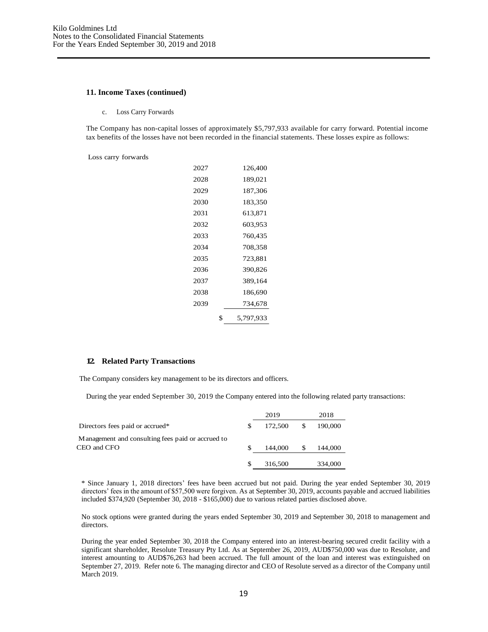#### **11. Income Taxes (continued)**

c. Loss Carry Forwards

The Company has non-capital losses of approximately \$5,797,933 available for carry forward. Potential income tax benefits of the losses have not been recorded in the financial statements. These losses expire as follows:

Loss carry forwards

| 2027 | 126.400         |
|------|-----------------|
| 2028 | 189,021         |
| 2029 | 187,306         |
| 2030 | 183,350         |
| 2031 | 613,871         |
| 2032 | 603,953         |
| 2033 | 760,435         |
| 2034 | 708.358         |
| 2035 | 723.881         |
| 2036 | 390,826         |
| 2037 | 389.164         |
| 2038 | 186.690         |
| 2039 | 734,678         |
|      | \$<br>5,797,933 |
|      |                 |

#### **12. Related Party Transactions**

The Company considers key management to be its directors and officers.

During the year ended September 30, 2019 the Company entered into the following related party transactions:

|                                                    |   | 2019    |    | 2018    |
|----------------------------------------------------|---|---------|----|---------|
| Directors fees paid or accrued*                    | S | 172.500 | -S | 190,000 |
| M anagement and consulting fees paid or accrued to |   |         |    |         |
| CEO and CFO                                        |   | 144.000 | S  | 144,000 |
|                                                    |   | 316,500 |    | 334,000 |

\* Since January 1, 2018 directors' fees have been accrued but not paid. During the year ended September 30, 2019 directors' fees in the amount of \$57,500 were forgiven. As at September 30, 2019, accounts payable and accrued liabilities included \$374,920 (September 30, 2018 - \$165,000) due to various related parties disclosed above.

No stock options were granted during the years ended September 30, 2019 and September 30, 2018 to management and directors.

During the year ended September 30, 2018 the Company entered into an interest-bearing secured credit facility with a significant shareholder, Resolute Treasury Pty Ltd. As at September 26, 2019, AUD\$750,000 was due to Resolute, and interest amounting to AUD\$76,263 had been accrued. The full amount of the loan and interest was extinguished on September 27, 2019. Refer note 6. The managing director and CEO of Resolute served as a director of the Company until March 2019.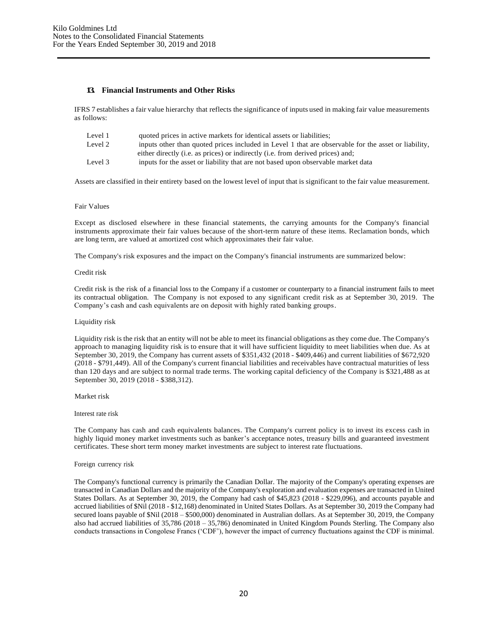## **13. Financial Instruments and Other Risks**

IFRS 7 establishes a fair value hierarchy that reflects the significance of inputs used in making fair value measurements as follows:

| Level 1 | quoted prices in active markets for identical assets or liabilities;                                |
|---------|-----------------------------------------------------------------------------------------------------|
| Level 2 | inputs other than quoted prices included in Level 1 that are observable for the asset or liability, |
|         | either directly (i.e. as prices) or indirectly (i.e. from derived prices) and;                      |
| Level 3 | inputs for the asset or liability that are not based upon observable market data                    |

Assets are classified in their entirety based on the lowest level of input that is significant to the fair value measurement.

#### Fair Values

Except as disclosed elsewhere in these financial statements, the carrying amounts for the Company's financial instruments approximate their fair values because of the short-term nature of these items. Reclamation bonds, which are long term, are valued at amortized cost which approximates their fair value.

The Company's risk exposures and the impact on the Company's financial instruments are summarized below:

#### Credit risk

Credit risk is the risk of a financial loss to the Company if a customer or counterparty to a financial instrument fails to meet its contractual obligation. The Company is not exposed to any significant credit risk as at September 30, 2019. The Company's cash and cash equivalents are on deposit with highly rated banking groups.

#### Liquidity risk

Liquidity risk is the risk that an entity will not be able to meet its financial obligations as they come due. The Company's approach to managing liquidity risk is to ensure that it will have sufficient liquidity to meet liabilities when due. As at September 30, 2019, the Company has current assets of \$351,432 (2018 - \$409,446) and current liabilities of \$672,920 (2018 - \$791,449). All of the Company's current financial liabilities and receivables have contractual maturities of less than 120 days and are subject to normal trade terms. The working capital deficiency of the Company is \$321,488 as at September 30, 2019 (2018 - \$388,312).

Market risk

#### Interest rate risk

The Company has cash and cash equivalents balances. The Company's current policy is to invest its excess cash in highly liquid money market investments such as banker's acceptance notes, treasury bills and guaranteed investment certificates. These short term money market investments are subject to interest rate fluctuations.

#### Foreign currency risk

The Company's functional currency is primarily the Canadian Dollar. The majority of the Company's operating expenses are transacted in Canadian Dollars and the majority of the Company's exploration and evaluation expenses are transacted in United States Dollars. As at September 30, 2019, the Company had cash of \$45,823 (2018 - \$229,096), and accounts payable and accrued liabilities of \$Nil (2018 - \$12,168) denominated in United States Dollars. As at September 30, 2019 the Company had secured loans payable of \$Nil (2018 – \$500,000) denominated in Australian dollars. As at September 30, 2019, the Company also had accrued liabilities of 35,786 (2018 – 35,786) denominated in United Kingdom Pounds Sterling. The Company also conducts transactions in Congolese Francs ('CDF'), however the impact of currency fluctuations against the CDF is minimal.